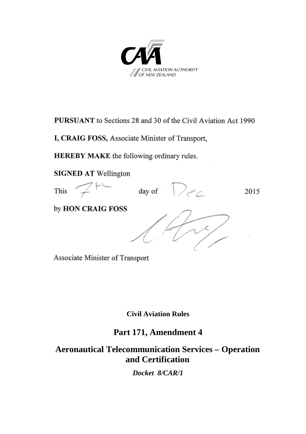

**PURSUANT** to Sections 28 and 30 of the Civil Aviation Act 1990

I, CRAIG FOSS, Associate Minister of Transport,

**HEREBY MAKE** the following ordinary rules.

**SIGNED AT Wellington** 



Associate Minister of Transport

**Civil Aviation Rules**

# **Part 171, Amendment 4**

**Aeronautical Telecommunication Services – Operation and Certification**

*Docket 8/CAR/1*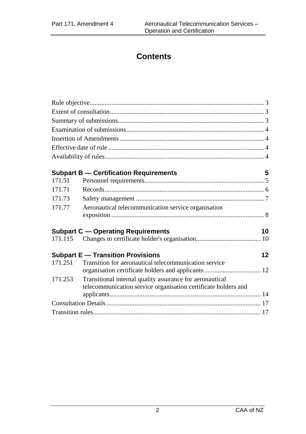# **Contents**

| 171.51  | <b>Subpart B - Certification Requirements</b>                                                                              | 5       |
|---------|----------------------------------------------------------------------------------------------------------------------------|---------|
| 171.71  |                                                                                                                            |         |
| 171.73  |                                                                                                                            |         |
| 171.77  | Aeronautical telecommunication service organisation                                                                        |         |
|         | <b>Subpart C - Operating Requirements</b>                                                                                  | 10      |
|         |                                                                                                                            |         |
|         | <b>Subpart E - Transition Provisions</b>                                                                                   | $12 \,$ |
| 171.251 | Transition for aeronautical telecommunication service                                                                      |         |
| 171.253 | Transitional internal quality assurance for aeronautical<br>telecommunication service organisation certificate holders and |         |
|         |                                                                                                                            |         |
|         |                                                                                                                            |         |
|         |                                                                                                                            |         |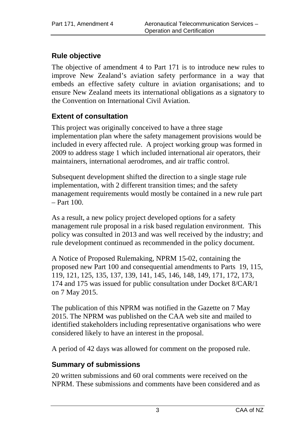# <span id="page-2-0"></span>**Rule objective**

The objective of amendment 4 to Part 171 is to introduce new rules to improve New Zealand's aviation safety performance in a way that embeds an effective safety culture in aviation organisations; and to ensure New Zealand meets its international obligations as a signatory to the Convention on International Civil Aviation.

# <span id="page-2-1"></span>**Extent of consultation**

This project was originally conceived to have a three stage implementation plan where the safety management provisions would be included in every affected rule. A project working group was formed in 2009 to address stage 1 which included international air operators, their maintainers, international aerodromes, and air traffic control.

Subsequent development shifted the direction to a single stage rule implementation, with 2 different transition times; and the safety management requirements would mostly be contained in a new rule part  $-$  Part 100.

As a result, a new policy project developed options for a safety management rule proposal in a risk based regulation environment. This policy was consulted in 2013 and was well received by the industry; and rule development continued as recommended in the policy document.

A Notice of Proposed Rulemaking, NPRM 15-02, containing the proposed new Part 100 and consequential amendments to Parts 19, 115, 119, 121, 125, 135, 137, 139, 141, 145, 146, 148, 149, 171, 172, 173, 174 and 175 was issued for public consultation under Docket 8/CAR/1 on 7 May 2015.

The publication of this NPRM was notified in the Gazette on 7 May 2015. The NPRM was published on the CAA web site and mailed to identified stakeholders including representative organisations who were considered likely to have an interest in the proposal.

A period of 42 days was allowed for comment on the proposed rule.

# <span id="page-2-2"></span>**Summary of submissions**

20 written submissions and 60 oral comments were received on the NPRM. These submissions and comments have been considered and as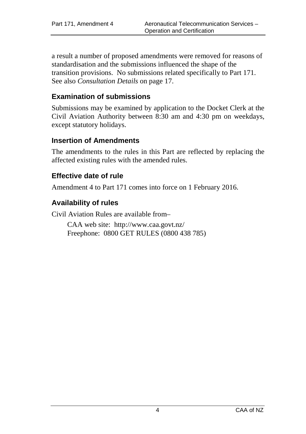a result a number of proposed amendments were removed for reasons of standardisation and the submissions influenced the shape of the transition provisions. No submissions related specifically to Part 171. See also *Consultation Details* on page 17.

# <span id="page-3-0"></span>**Examination of submissions**

Submissions may be examined by application to the Docket Clerk at the Civil Aviation Authority between 8:30 am and 4:30 pm on weekdays, except statutory holidays.

# <span id="page-3-1"></span>**Insertion of Amendments**

The amendments to the rules in this Part are reflected by replacing the affected existing rules with the amended rules.

## <span id="page-3-2"></span>**Effective date of rule**

Amendment 4 to Part 171 comes into force on 1 February 2016.

# <span id="page-3-3"></span>**Availability of rules**

Civil Aviation Rules are available from–

CAA web site:<http://www.caa.govt.nz/> Freephone: 0800 GET RULES (0800 438 785)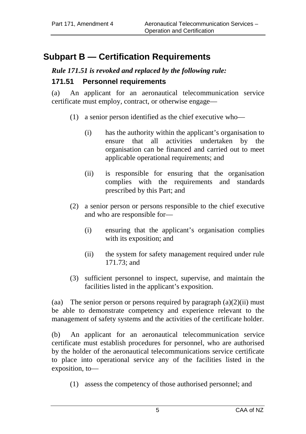# <span id="page-4-0"></span>**Subpart B — Certification Requirements**

# *Rule 171.51 is revoked and replaced by the following rule:*

### <span id="page-4-1"></span>**171.51 Personnel requirements**

(a) An applicant for an aeronautical telecommunication service certificate must employ, contract, or otherwise engage—

- (1) a senior person identified as the chief executive who—
	- (i) has the authority within the applicant's organisation to ensure that all activities undertaken by the organisation can be financed and carried out to meet applicable operational requirements; and
	- (ii) is responsible for ensuring that the organisation complies with the requirements and standards prescribed by this Part; and
- (2) a senior person or persons responsible to the chief executive and who are responsible for—
	- (i) ensuring that the applicant's organisation complies with its exposition; and
	- (ii) the system for safety management required under rule 171.73; and
- (3) sufficient personnel to inspect, supervise, and maintain the facilities listed in the applicant's exposition.

(aa) The senior person or persons required by paragraph  $(a)(2)(ii)$  must be able to demonstrate competency and experience relevant to the management of safety systems and the activities of the certificate holder.

(b) An applicant for an aeronautical telecommunication service certificate must establish procedures for personnel, who are authorised by the holder of the aeronautical telecommunications service certificate to place into operational service any of the facilities listed in the exposition, to—

(1) assess the competency of those authorised personnel; and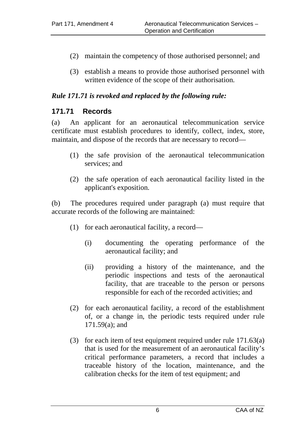- (2) maintain the competency of those authorised personnel; and
- (3) establish a means to provide those authorised personnel with written evidence of the scope of their authorisation.

### *Rule 171.71 is revoked and replaced by the following rule:*

## <span id="page-5-0"></span>**171.71 Records**

(a) An applicant for an aeronautical telecommunication service certificate must establish procedures to identify, collect, index, store, maintain, and dispose of the records that are necessary to record—

- (1) the safe provision of the aeronautical telecommunication services; and
- (2) the safe operation of each aeronautical facility listed in the applicant's exposition.

(b) The procedures required under paragraph (a) must require that accurate records of the following are maintained:

- (1) for each aeronautical facility, a record—
	- (i) documenting the operating performance of the aeronautical facility; and
	- (ii) providing a history of the maintenance, and the periodic inspections and tests of the aeronautical facility, that are traceable to the person or persons responsible for each of the recorded activities; and
- (2) for each aeronautical facility, a record of the establishment of, or a change in, the periodic tests required under rule 171.59(a); and
- (3) for each item of test equipment required under rule 171.63(a) that is used for the measurement of an aeronautical facility's critical performance parameters, a record that includes a traceable history of the location, maintenance, and the calibration checks for the item of test equipment; and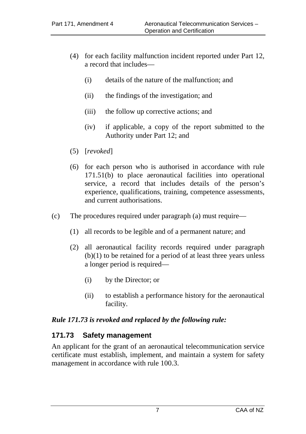- (4) for each facility malfunction incident reported under Part 12, a record that includes—
	- (i) details of the nature of the malfunction; and
	- (ii) the findings of the investigation; and
	- (iii) the follow up corrective actions; and
	- (iv) if applicable, a copy of the report submitted to the Authority under Part 12; and
- (5) [*revoked*]
- (6) for each person who is authorised in accordance with rule 171.51(b) to place aeronautical facilities into operational service, a record that includes details of the person's experience, qualifications, training, competence assessments, and current authorisations.
- (c) The procedures required under paragraph (a) must require—
	- (1) all records to be legible and of a permanent nature; and
	- (2) all aeronautical facility records required under paragraph (b)(1) to be retained for a period of at least three years unless a longer period is required—
		- (i) by the Director; or
		- (ii) to establish a performance history for the aeronautical facility.

#### *Rule 171.73 is revoked and replaced by the following rule:*

### <span id="page-6-0"></span>**171.73 Safety management**

An applicant for the grant of an aeronautical telecommunication service certificate must establish, implement, and maintain a system for safety management in accordance with rule 100.3.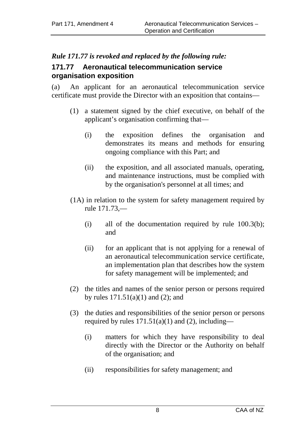# <span id="page-7-0"></span>*Rule 171.77 is revoked and replaced by the following rule:*

## **171.77 Aeronautical telecommunication service organisation exposition**

(a) An applicant for an aeronautical telecommunication service certificate must provide the Director with an exposition that contains—

- (1) a statement signed by the chief executive, on behalf of the applicant's organisation confirming that—
	- (i) the exposition defines the organisation and demonstrates its means and methods for ensuring ongoing compliance with this Part; and
	- (ii) the exposition, and all associated manuals, operating, and maintenance instructions, must be complied with by the organisation's personnel at all times; and
- (1A) in relation to the system for safety management required by rule 171.73,—
	- (i) all of the documentation required by rule 100.3(b); and
	- (ii) for an applicant that is not applying for a renewal of an aeronautical telecommunication service certificate, an implementation plan that describes how the system for safety management will be implemented; and
- (2) the titles and names of the senior person or persons required by rules  $171.51(a)(1)$  and  $(2)$ ; and
- (3) the duties and responsibilities of the senior person or persons required by rules  $171.51(a)(1)$  and  $(2)$ , including—
	- (i) matters for which they have responsibility to deal directly with the Director or the Authority on behalf of the organisation; and
	- (ii) responsibilities for safety management; and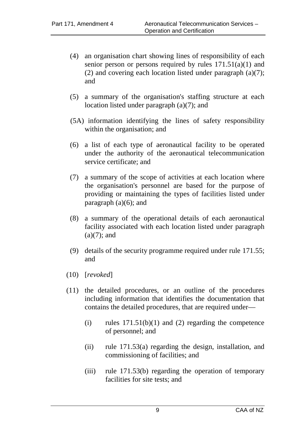- (4) an organisation chart showing lines of responsibility of each senior person or persons required by rules  $171.51(a)(1)$  and (2) and covering each location listed under paragraph  $(a)(7)$ ; and
- (5) a summary of the organisation's staffing structure at each location listed under paragraph (a)(7); and
- (5A) information identifying the lines of safety responsibility within the organisation; and
- (6) a list of each type of aeronautical facility to be operated under the authority of the aeronautical telecommunication service certificate; and
- (7) a summary of the scope of activities at each location where the organisation's personnel are based for the purpose of providing or maintaining the types of facilities listed under paragraph  $(a)(6)$ ; and
- (8) a summary of the operational details of each aeronautical facility associated with each location listed under paragraph  $(a)(7)$ ; and
- (9) details of the security programme required under rule 171.55; and
- (10) [*revoked*]
- (11) the detailed procedures, or an outline of the procedures including information that identifies the documentation that contains the detailed procedures, that are required under—
	- $(i)$  rules  $171.51(b)(1)$  and  $(2)$  regarding the competence of personnel; and
	- (ii) rule 171.53(a) regarding the design, installation, and commissioning of facilities; and
	- (iii) rule 171.53(b) regarding the operation of temporary facilities for site tests; and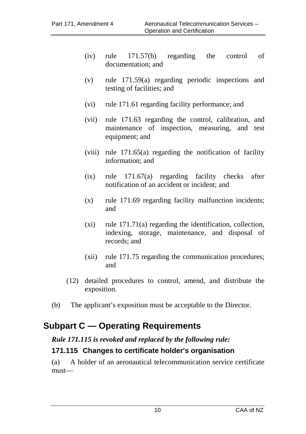- (iv) rule 171.57(b) regarding the control of documentation; and
- (v) rule 171.59(a) regarding periodic inspections and testing of facilities; and
- (vi) rule 171.61 regarding facility performance; and
- (vii) rule 171.63 regarding the control, calibration, and maintenance of inspection, measuring, and test equipment; and
- (viii) rule 171.65(a) regarding the notification of facility information; and
- (ix) rule 171.67(a) regarding facility checks after notification of an accident or incident; and
- (x) rule 171.69 regarding facility malfunction incidents; and
- $(x_i)$  rule 171.71 $(a)$  regarding the identification, collection, indexing, storage, maintenance, and disposal of records; and
- (xii) rule 171.75 regarding the communication procedures; and
- (12) detailed procedures to control, amend, and distribute the exposition.
- (b) The applicant's exposition must be acceptable to the Director.

# <span id="page-9-0"></span>**Subpart C — Operating Requirements**

# *Rule 171.115 is revoked and replaced by the following rule:*

# <span id="page-9-1"></span>**171.115 Changes to certificate holder's organisation**

(a) A holder of an aeronautical telecommunication service certificate must—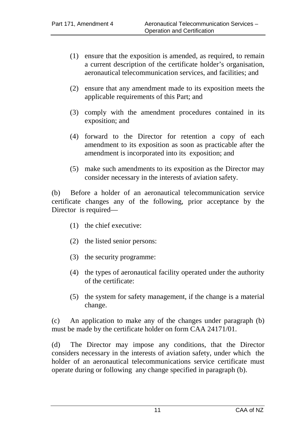- (1) ensure that the exposition is amended, as required, to remain a current description of the certificate holder's organisation, aeronautical telecommunication services, and facilities; and
- (2) ensure that any amendment made to its exposition meets the applicable requirements of this Part; and
- (3) comply with the amendment procedures contained in its exposition; and
- (4) forward to the Director for retention a copy of each amendment to its exposition as soon as practicable after the amendment is incorporated into its exposition; and
- (5) make such amendments to its exposition as the Director may consider necessary in the interests of aviation safety.

(b) Before a holder of an aeronautical telecommunication service certificate changes any of the following, prior acceptance by the Director is required—

- (1) the chief executive:
- (2) the listed senior persons:
- (3) the security programme:
- (4) the types of aeronautical facility operated under the authority of the certificate:
- (5) the system for safety management, if the change is a material change.

(c) An application to make any of the changes under paragraph (b) must be made by the certificate holder on form CAA 24171/01.

(d) The Director may impose any conditions, that the Director considers necessary in the interests of aviation safety, under which the holder of an aeronautical telecommunications service certificate must operate during or following any change specified in paragraph (b).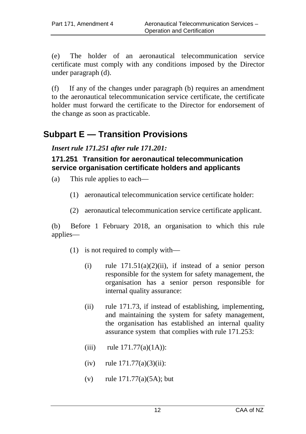(e) The holder of an aeronautical telecommunication service certificate must comply with any conditions imposed by the Director under paragraph (d).

(f) If any of the changes under paragraph (b) requires an amendment to the aeronautical telecommunication service certificate, the certificate holder must forward the certificate to the Director for endorsement of the change as soon as practicable.

# <span id="page-11-0"></span>**Subpart E — Transition Provisions**

*Insert rule 171.251 after rule 171.201:*

### <span id="page-11-1"></span>**171.251 Transition for aeronautical telecommunication service organisation certificate holders and applicants**

- (a) This rule applies to each—
	- (1) aeronautical telecommunication service certificate holder:
	- (2) aeronautical telecommunication service certificate applicant.

(b) Before 1 February 2018, an organisation to which this rule applies—

- (1) is not required to comply with—
	- (i) rule  $171.51(a)(2)(ii)$ , if instead of a senior person responsible for the system for safety management, the organisation has a senior person responsible for internal quality assurance:
	- (ii) rule 171.73, if instead of establishing, implementing, and maintaining the system for safety management, the organisation has established an internal quality assurance system that complies with rule 171.253:
	- (iii) rule  $171.77(a)(1A)$ ):
	- $(iv)$  rule  $171.77(a)(3)(ii)$ :
	- (v) rule 171.77(a)(5A); but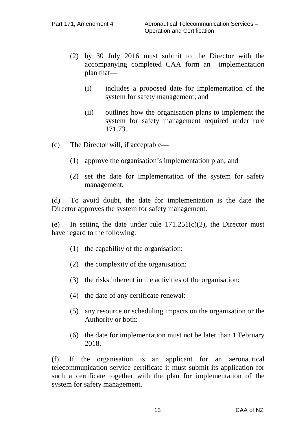- (2) by 30 July 2016 must submit to the Director with the accompanying completed CAA form an implementation plan that—
	- (i) includes a proposed date for implementation of the system for safety management; and
	- (ii) outlines how the organisation plans to implement the system for safety management required under rule 171.73.
- (c) The Director will, if acceptable—
	- (1) approve the organisation's implementation plan; and
	- (2) set the date for implementation of the system for safety management.

(d) To avoid doubt, the date for implementation is the date the Director approves the system for safety management.

(e) In setting the date under rule  $171.251(c)(2)$ , the Director must have regard to the following:

- (1) the capability of the organisation:
- (2) the complexity of the organisation:
- (3) the risks inherent in the activities of the organisation:
- (4) the date of any certificate renewal:
- (5) any resource or scheduling impacts on the organisation or the Authority or both:
- (6) the date for implementation must not be later than 1 February 2018.

(f) If the organisation is an applicant for an aeronautical telecommunication service certificate it must submit its application for such a certificate together with the plan for implementation of the system for safety management.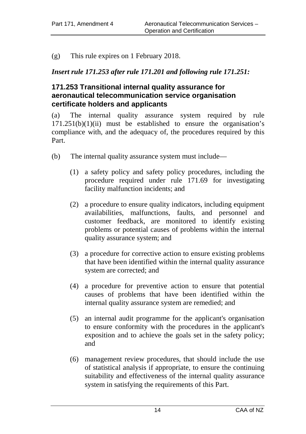(g) This rule expires on 1 February 2018.

### *Insert rule 171.253 after rule 171.201 and following rule 171.251:*

### <span id="page-13-0"></span>**171.253 Transitional internal quality assurance for aeronautical telecommunication service organisation certificate holders and applicants**

(a) The internal quality assurance system required by rule  $171.251(b)(1)(ii)$  must be established to ensure the organisation's compliance with, and the adequacy of, the procedures required by this Part.

- (b) The internal quality assurance system must include—
	- (1) a safety policy and safety policy procedures, including the procedure required under rule 171.69 for investigating facility malfunction incidents; and
	- (2) a procedure to ensure quality indicators, including equipment availabilities, malfunctions, faults, and personnel and customer feedback, are monitored to identify existing problems or potential causes of problems within the internal quality assurance system; and
	- (3) a procedure for corrective action to ensure existing problems that have been identified within the internal quality assurance system are corrected; and
	- (4) a procedure for preventive action to ensure that potential causes of problems that have been identified within the internal quality assurance system are remedied; and
	- (5) an internal audit programme for the applicant's organisation to ensure conformity with the procedures in the applicant's exposition and to achieve the goals set in the safety policy; and
	- (6) management review procedures, that should include the use of statistical analysis if appropriate, to ensure the continuing suitability and effectiveness of the internal quality assurance system in satisfying the requirements of this Part.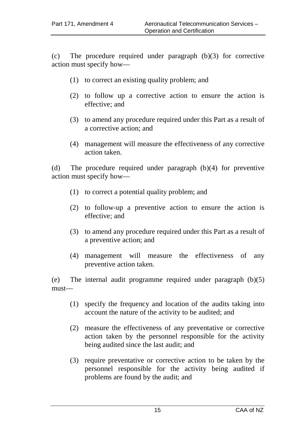(c) The procedure required under paragraph (b)(3) for corrective action must specify how—

- (1) to correct an existing quality problem; and
- (2) to follow up a corrective action to ensure the action is effective; and
- (3) to amend any procedure required under this Part as a result of a corrective action; and
- (4) management will measure the effectiveness of any corrective action taken.

(d) The procedure required under paragraph (b)(4) for preventive action must specify how—

- (1) to correct a potential quality problem; and
- (2) to follow-up a preventive action to ensure the action is effective; and
- (3) to amend any procedure required under this Part as a result of a preventive action; and
- (4) management will measure the effectiveness of any preventive action taken.

(e) The internal audit programme required under paragraph (b)(5) must—

- (1) specify the frequency and location of the audits taking into account the nature of the activity to be audited; and
- (2) measure the effectiveness of any preventative or corrective action taken by the personnel responsible for the activity being audited since the last audit; and
- (3) require preventative or corrective action to be taken by the personnel responsible for the activity being audited if problems are found by the audit; and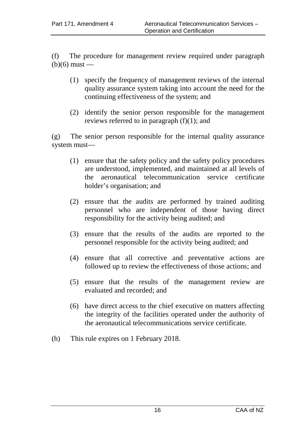(f) The procedure for management review required under paragraph  $(b)(6)$  must —

- (1) specify the frequency of management reviews of the internal quality assurance system taking into account the need for the continuing effectiveness of the system; and
- (2) identify the senior person responsible for the management reviews referred to in paragraph (f)(1); and

(g) The senior person responsible for the internal quality assurance system must—

- (1) ensure that the safety policy and the safety policy procedures are understood, implemented, and maintained at all levels of the aeronautical telecommunication service certificate holder's organisation; and
- (2) ensure that the audits are performed by trained auditing personnel who are independent of those having direct responsibility for the activity being audited; and
- (3) ensure that the results of the audits are reported to the personnel responsible for the activity being audited; and
- (4) ensure that all corrective and preventative actions are followed up to review the effectiveness of those actions; and
- (5) ensure that the results of the management review are evaluated and recorded; and
- (6) have direct access to the chief executive on matters affecting the integrity of the facilities operated under the authority of the aeronautical telecommunications service certificate.
- (h) This rule expires on 1 February 2018.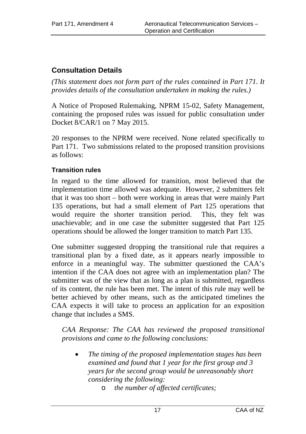# <span id="page-16-0"></span>**Consultation Details**

*(This statement does not form part of the rules contained in Part 171. It provides details of the consultation undertaken in making the rules.)*

A Notice of Proposed Rulemaking, NPRM 15-02, Safety Management, containing the proposed rules was issued for public consultation under Docket 8/CAR/1 on 7 May 2015.

20 responses to the NPRM were received. None related specifically to Part 171. Two submissions related to the proposed transition provisions as follows:

### <span id="page-16-1"></span>**Transition rules**

In regard to the time allowed for transition, most believed that the implementation time allowed was adequate. However, 2 submitters felt that it was too short – both were working in areas that were mainly Part 135 operations, but had a small element of Part 125 operations that would require the shorter transition period. This, they felt was unachievable; and in one case the submitter suggested that Part 125 operations should be allowed the longer transition to match Part 135.

One submitter suggested dropping the transitional rule that requires a transitional plan by a fixed date, as it appears nearly impossible to enforce in a meaningful way. The submitter questioned the CAA's intention if the CAA does not agree with an implementation plan? The submitter was of the view that as long as a plan is submitted, regardless of its content, the rule has been met. The intent of this rule may well be better achieved by other means, such as the anticipated timelines the CAA expects it will take to process an application for an exposition change that includes a SMS.

*CAA Response: The CAA has reviewed the proposed transitional provisions and came to the following conclusions:*

- *The timing of the proposed implementation stages has been examined and found that 1 year for the first group and 3 years for the second group would be unreasonably short considering the following:*
	- o *the number of affected certificates;*